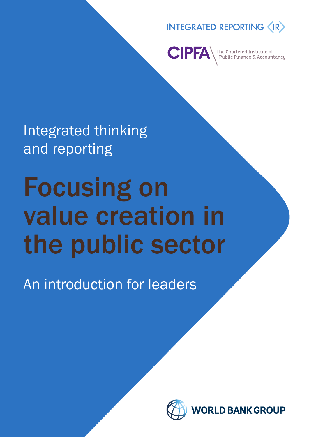

**CIPFA** The Chartered Institute of<br>Public Finance & Accountancy

Integrated thinking and reporting

# Focusing on value creation in the public sector

An introduction for leaders

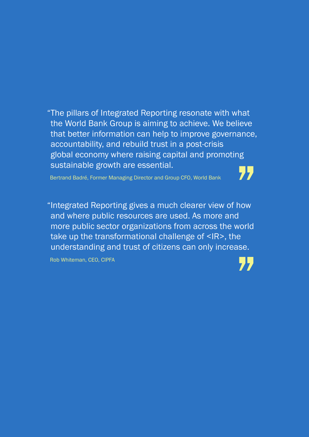## "The pillars of Integrated Reporting resonate with what the World Bank Group is aiming to achieve. We believe that better information can help to improve governance, accountability, and rebuild trust in a post-crisis global economy where raising capital and promoting sustainable growth are essential.

Bertrand Badré, Former Managing Director and Group CFO, World Bank

"Integrated Reporting gives a much clearer view of how and where public resources are used. As more and more public sector organizations from across the world take up the transformational challenge of <IR>, the understanding and trust of citizens can only increase.

Rob Whiteman, CEO, CIPFA

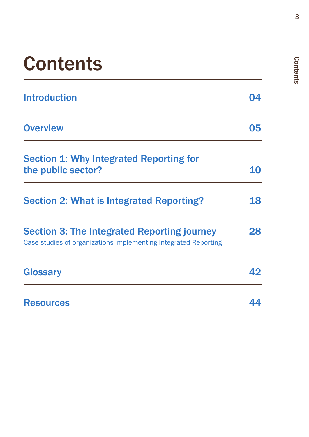# **Contents**

| <b>Introduction</b>                                                                                                   |           |
|-----------------------------------------------------------------------------------------------------------------------|-----------|
| <b>Overview</b>                                                                                                       | 05        |
| <b>Section 1: Why Integrated Reporting for</b><br>the public sector?                                                  | <b>10</b> |
| <b>Section 2: What is Integrated Reporting?</b>                                                                       | <b>18</b> |
| <b>Section 3: The Integrated Reporting journey</b><br>Case studies of organizations implementing Integrated Reporting | 28        |
| <b>Glossary</b>                                                                                                       | 42        |
| <b>Resources</b>                                                                                                      |           |

Contents

**Contents**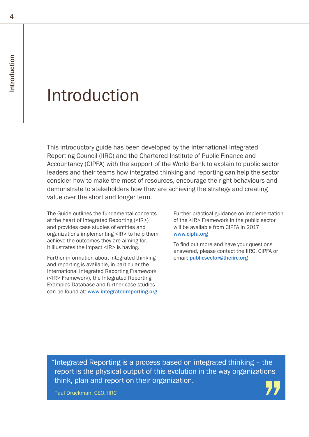# Introduction

This introductory guide has been developed by the International Integrated Reporting Council (IIRC) and the Chartered Institute of Public Finance and Accountancy (CIPFA) with the support of the World Bank to explain to public sector leaders and their teams how integrated thinking and reporting can help the sector consider how to make the most of resources, encourage the right behaviours and demonstrate to stakeholders how they are achieving the strategy and creating value over the short and longer term.

The Guide outlines the fundamental concepts at the heart of Integrated Reporting (<IR>) and provides case studies of entities and organizations implementing <IR> to help them achieve the outcomes they are aiming for. It illustrates the impact <IR> is having.

Further information about integrated thinking and reporting is available, in particular the International Integrated Reporting Framework (<IR> Framework), the Integrated Reporting Examples Database and further case studies can be found at: www.integratedreporting.org

Further practical guidance on implementation of the <IR> Framework in the public sector will be available from CIPFA in 2017 www.cipfa.org

To find out more and have your questions answered, please contact the IIRC, CIPFA or email: publicsector@theiirc.org

"Integrated Reporting is a process based on integrated thinking – the report is the physical output of this evolution in the way organizations think, plan and report on their organization.

Paul Druckman, CEO, IIRC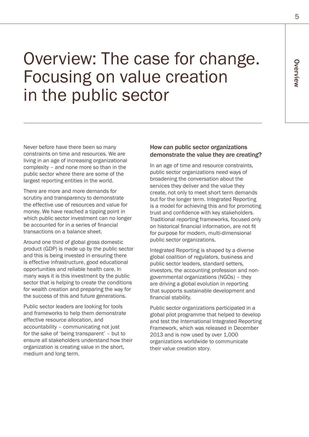# Overview: The case for change. Focusing on value creation in the public sector

Never before have there been so many constraints on time and resources. We are living in an age of increasing organizational complexity – and none more so than in the public sector where there are some of the largest reporting entities in the world.

There are more and more demands for scrutiny and transparency to demonstrate the effective use of resources and value for money. We have reached a tipping point in which public sector investment can no longer be accounted for in a series of financial transactions on a balance sheet.

Around one third of global gross domestic product (GDP) is made up by the public sector and this is being invested in ensuring there is effective infrastructure, good educational opportunities and reliable health care. In many ways it is this investment by the public sector that is helping to create the conditions for wealth creation and preparing the way for the success of this and future generations.

Public sector leaders are looking for tools and frameworks to help them demonstrate effective resource allocation, and accountability – communicating not just for the sake of 'being transparent' – but to ensure all stakeholders understand how their organization is creating value in the short, medium and long term.

### How can public sector organizations demonstrate the value they are creating?

In an age of time and resource constraints, public sector organizations need ways of broadening the conversation about the services they deliver and the value they create, not only to meet short term demands but for the longer term. Integrated Reporting is a model for achieving this and for promoting trust and confidence with key stakeholders. Traditional reporting frameworks, focused only on historical financial information, are not fit for purpose for modern, multi-dimensional public sector organizations.

Integrated Reporting is shaped by a diverse global coalition of regulators, business and public sector leaders, standard setters, investors, the accounting profession and nongovernmental organizations (NGOs) – they are driving a global evolution in reporting that supports sustainable development and financial stability.

Public sector organizations participated in a global pilot programme that helped to develop and test the International Integrated Reporting Framework, which was released in December 2013 and is now used by over 1,000 organizations worldwide to communicate their value creation story.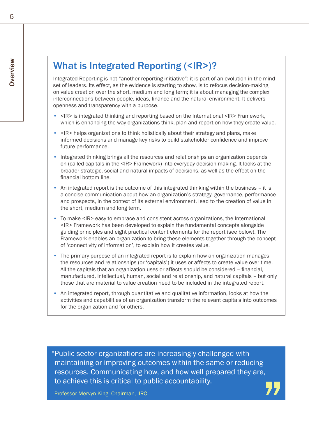# What is Integrated Reporting (<IR>)?

Integrated Reporting is not "another reporting initiative": it is part of an evolution in the mindset of leaders. Its effect, as the evidence is starting to show, is to refocus decision-making on value creation over the short, medium and long term; it is about managing the complex interconnections between people, ideas, finance and the natural environment. It delivers openness and transparency with a purpose.

- <IR> is integrated thinking and reporting based on the International <IR> Framework, which is enhancing the way organizations think, plan and report on how they create value.
- <IR> helps organizations to think holistically about their strategy and plans, make informed decisions and manage key risks to build stakeholder confidence and improve future performance.
- Integrated thinking brings all the resources and relationships an organization depends on (called capitals in the <IR> Framework) into everyday decision-making. It looks at the broader strategic, social and natural impacts of decisions, as well as the effect on the financial bottom line.
- An integrated report is the outcome of this integrated thinking within the business it is a concise communication about how an organization's strategy, governance, performance and prospects, in the context of its external environment, lead to the creation of value in the short, medium and long term.
- To make <IR> easy to embrace and consistent across organizations, the International <IR> Framework has been developed to explain the fundamental concepts alongside guiding principles and eight practical content elements for the report (see below). The Framework enables an organization to bring these elements together through the concept of 'connectivity of information', to explain how it creates value.
- The primary purpose of an integrated report is to explain how an organization manages the resources and relationships (or 'capitals') it uses or affects to create value over time. All the capitals that an organization uses or affects should be considered – financial, manufactured, intellectual, human, social and relationship, and natural capitals – but only those that are material to value creation need to be included in the integrated report.
- An integrated report, through quantitative and qualitative information, looks at how the activities and capabilities of an organization transform the relevant capitals into outcomes for the organization and for others.

"Public sector organizations are increasingly challenged with maintaining or improving outcomes within the same or reducing resources. Communicating how, and how well prepared they are, to achieve this is critical to public accountability.

Professor Mervyn King, Chairman, IIRC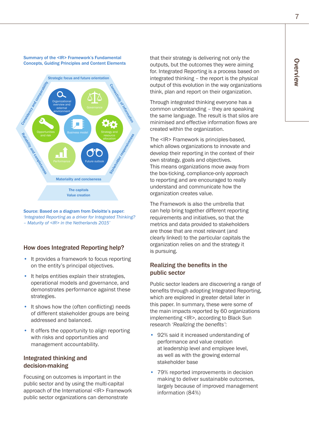### Summary of the <IR> Framework's Fundamental Concepts, Guiding Principles and Content Elements



Source: Based on a diagram from Deloitte's paper: *'Integrated Reporting as a driver for Integrated Thinking? – Maturity of <IR> in the Netherlands 2015'*

### How does Integrated Reporting help?

- It provides a framework to focus reporting on the entity's principal objectives.
- It helps entities explain their strategies, operational models and governance, and demonstrates performance against these strategies.
- It shows how the (often conflicting) needs of different stakeholder groups are being addressed and balanced.
- It offers the opportunity to align reporting with risks and opportunities and management accountability.

### Integrated thinking and decision-making

Focusing on outcomes is important in the public sector and by using the multi-capital approach of the International <IR> Framework public sector organizations can demonstrate

that their strategy is delivering not only the outputs, but the outcomes they were aiming for. Integrated Reporting is a process based on integrated thinking – the report is the physical output of this evolution in the way organizations think, plan and report on their organization.

Through integrated thinking everyone has a common understanding – they are speaking the same language. The result is that silos are minimised and effective information flows are created within the organization.

The <IR> Framework is principles-based, which allows organizations to innovate and develop their reporting in the context of their own strategy, goals and objectives. This means organizations move away from the box-ticking, compliance-only approach to reporting and are encouraged to really understand and communicate how the organization creates value.

The Framework is also the umbrella that can help bring together different reporting requirements and initiatives, so that the metrics and data provided to stakeholders are those that are most relevant (and clearly linked) to the particular capitals the organization relies on and the strategy it is pursuing.

### Realizing the benefits in the public sector

Public sector leaders are discovering a range of benefits through adopting Integrated Reporting, which are explored in greater detail later in this paper. In summary, these were some of the main impacts reported by 60 organizations implementing <IR>, according to Black Sun research *'Realizing the benefits'*:

- 92% said it increased understanding of performance and value creation at leadership level and employee level, as well as with the growing external stakeholder base
- 79% reported improvements in decision making to deliver sustainable outcomes, largely because of improved management information (84%)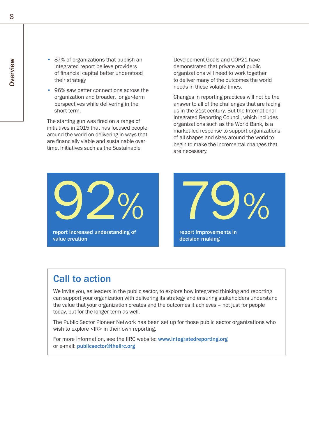• 87% of organizations that publish an integrated report believe providers of financial capital better understood their strategy

• 96% saw better connections across the organization and broader, longer-term perspectives while delivering in the short term.

The starting gun was fired on a range of initiatives in 2015 that has focused people around the world on delivering in ways that are financially viable and sustainable over time. Initiatives such as the Sustainable

Development Goals and COP21 have demonstrated that private and public organizations will need to work together to deliver many of the outcomes the world needs in these volatile times.

Changes in reporting practices will not be the answer to all of the challenges that are facing us in the 21st century. But the International Integrated Reporting Council, which includes organizations such as the World Bank, is a market-led response to support organizations of all shapes and sizes around the world to begin to make the incremental changes that are necessary.



report increased understanding of value creation



# Call to action

We invite you, as leaders in the public sector, to explore how integrated thinking and reporting can support your organization with delivering its strategy and ensuring stakeholders understand the value that your organization creates and the outcomes it achieves – not just for people today, but for the longer term as well.

The Public Sector Pioneer Network has been set up for those public sector organizations who wish to explore <IR> in their own reporting.

For more information, see the IIRC website: www.integratedreporting.org or e-mail: publicsector@theiirc.org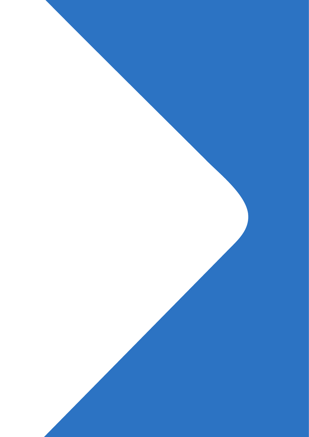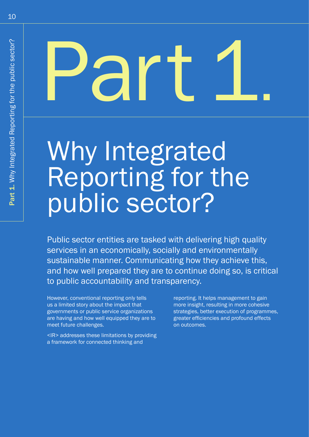# ar

# Why Integrated Reporting for the public sector?

Public sector entities are tasked with delivering high quality services in an economically, socially and environmentally sustainable manner. Communicating how they achieve this, and how well prepared they are to continue doing so, is critical to public accountability and transparency.

However, conventional reporting only tells us a limited story about the impact that governments or public service organizations are having and how well equipped they are to meet future challenges.

<IR> addresses these limitations by providing a framework for connected thinking and

reporting. It helps management to gain more insight, resulting in more cohesive strategies, better execution of programmes, greater efficiencies and profound effects on outcomes.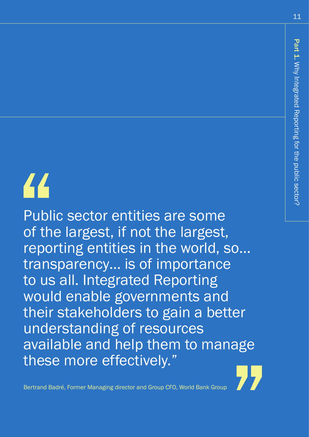# 44

Public sector entities are some of the largest, if not the largest, reporting entities in the world, so… transparency… is of importance to us all. Integrated Reporting would enable governments and their stakeholders to gain a better understanding of resources available and help them to manage these more effectively."



Bertrand Badré, Former Managing director and Group CFO, World Bank Group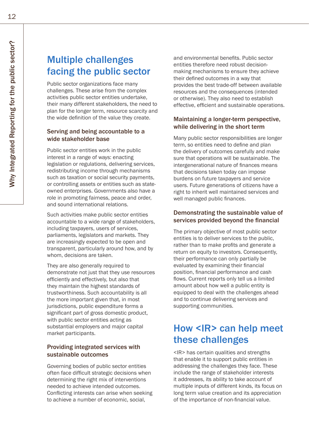# Multiple challenges facing the public sector

Public sector organizations face many challenges. These arise from the complex activities public sector entities undertake, their many different stakeholders, the need to plan for the longer term, resource scarcity and the wide definition of the value they create.

### Serving and being accountable to a wide stakeholder base

Public sector entities work in the public interest in a range of ways: enacting legislation or regulations, delivering services, redistributing income through mechanisms such as taxation or social security payments, or controlling assets or entities such as stateowned enterprises. Governments also have a role in promoting fairness, peace and order, and sound international relations.

Such activities make public sector entities accountable to a wide range of stakeholders, including taxpayers, users of services, parliaments, legislators and markets. They are increasingly expected to be open and transparent, particularly around how, and by whom, decisions are taken.

They are also generally required to demonstrate not just that they use resources efficiently and effectively, but also that they maintain the highest standards of trustworthiness. Such accountability is all the more important given that, in most jurisdictions, public expenditure forms a significant part of gross domestic product, with public sector entities acting as substantial employers and major capital market participants.

### Providing integrated services with sustainable outcomes

Governing bodies of public sector entities often face difficult strategic decisions when determining the right mix of interventions needed to achieve intended outcomes. Conflicting interests can arise when seeking to achieve a number of economic, social,

and environmental benefits. Public sector entities therefore need robust decisionmaking mechanisms to ensure they achieve their defined outcomes in a way that provides the best trade-off between available resources and the consequences (intended or otherwise). They also need to establish effective, efficient and sustainable operations.

### Maintaining a longer-term perspective, while delivering in the short term

Many public sector responsibilities are longer term, so entities need to define and plan the delivery of outcomes carefully and make sure that operations will be sustainable. The intergenerational nature of finances means that decisions taken today can impose burdens on future taxpayers and service users. Future generations of citizens have a right to inherit well maintained services and well managed public finances.

### Demonstrating the sustainable value of services provided beyond the financial

The primary objective of most public sector entities is to deliver services to the public, rather than to make profits and generate a return on equity to investors. Consequently, their performance can only partially be evaluated by examining their financial position, financial performance and cash flows. Current reports only tell us a limited amount about how well a public entity is equipped to deal with the challenges ahead and to continue delivering services and supporting communities.

# How <IR> can help meet these challenges

<IR> has certain qualities and strengths that enable it to support public entities in addressing the challenges they face. These include the range of stakeholder interests it addresses, its ability to take account of multiple inputs of different kinds, its focus on long term value creation and its appreciation of the importance of non-financial value.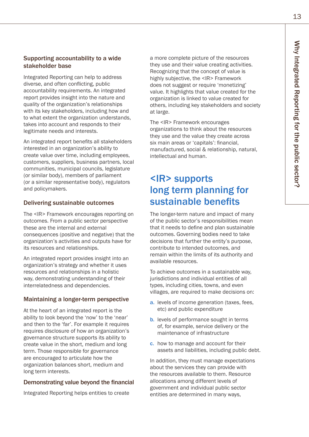### Supporting accountability to a wide stakeholder base

Integrated Reporting can help to address diverse, and often conflicting, public accountability requirements. An integrated report provides insight into the nature and quality of the organization's relationships with its key stakeholders, including how and to what extent the organization understands, takes into account and responds to their legitimate needs and interests.

An integrated report benefits all stakeholders interested in an organization's ability to create value over time, including employees, customers, suppliers, business partners, local communities, municipal councils, legislature (or similar body), members of parliament (or a similar representative body), regulators and policymakers.

### Delivering sustainable outcomes

The <IR> Framework encourages reporting on outcomes. From a public sector perspective these are the internal and external consequences (positive and negative) that the organization's activities and outputs have for its resources and relationships.

An integrated report provides insight into an organization's strategy and whether it uses resources and relationships in a holistic way, demonstrating understanding of their interrelatedness and dependencies.

### Maintaining a longer-term perspective

At the heart of an integrated report is the ability to look beyond the 'now' to the 'near' and then to the 'far'. For example it requires requires disclosure of how an organization's governance structure supports its ability to create value in the short, medium and long term. Those responsible for governance are encouraged to articulate how the organization balances short, medium and long term interests.

### Demonstrating value beyond the financial

Integrated Reporting helps entities to create

a more complete picture of the resources they use and their value creating activities. Recognizing that the concept of value is highly subjective, the <IR> Framework does not suggest or require 'monetizing' value. It highlights that value created for the organization is linked to value created for others, including key stakeholders and society at large.

The <IR> Framework encourages organizations to think about the resources they use and the value they create across six main areas or 'capitals': financial, manufactured, social & relationship, natural, intellectual and human.

# <IR> supports long term planning for sustainable benefits

The longer-term nature and impact of many of the public sector's responsibilities mean that it needs to define and plan sustainable outcomes. Governing bodies need to take decisions that further the entity's purpose, contribute to intended outcomes, and remain within the limits of its authority and available resources.

To achieve outcomes in a sustainable way, jurisdictions and individual entities of all types, including cities, towns, and even villages, are required to make decisions on:

- a. levels of income generation (taxes, fees, etc) and public expenditure
- b. levels of performance sought in terms of, for example, service delivery or the maintenance of infrastructure
- c. how to manage and account for their assets and liabilities, including public debt.

In addition, they must manage expectations about the services they can provide with the resources available to them. Resource allocations among different levels of government and individual public sector entities are determined in many ways,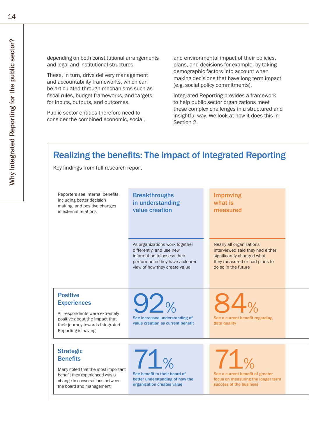depending on both constitutional arrangements and legal and institutional structures.

These, in turn, drive delivery management and accountability frameworks, which can be articulated through mechanisms such as fiscal rules, budget frameworks, and targets for inputs, outputs, and outcomes.

Public sector entities therefore need to consider the combined economic, social, and environmental impact of their policies, plans, and decisions for example, by taking demographic factors into account when making decisions that have long term impact (e.g. social policy commitments).

Integrated Reporting provides a framework to help public sector organizations meet these complex challenges in a structured and insightful way. We look at how it does this in Section 2.

## Realizing the benefits: The impact of Integrated Reporting

Key findings from full research report

| Reporters see internal benefits.<br>including better decision<br>making, and positive changes<br>in external relations                                                     | <b>Breakthroughs</b><br>in understanding<br>value creation                                                                                                    | <b>Improving</b><br>what is<br>measured                                                                                                                   |
|----------------------------------------------------------------------------------------------------------------------------------------------------------------------------|---------------------------------------------------------------------------------------------------------------------------------------------------------------|-----------------------------------------------------------------------------------------------------------------------------------------------------------|
|                                                                                                                                                                            | As organizations work together<br>differently, and use new<br>information to assess their<br>performance they have a clearer<br>view of how they create value | <b>Nearly all organizations</b><br>interviewed said they had either<br>significantly changed what<br>they measured or had plans to<br>do so in the future |
| <b>Positive</b><br><b>Experiences</b><br>All respondents were extremely<br>positive about the impact that<br>their journey towards Integrated<br>Reporting is having       | $\overline{O'_0}$<br>See increased understanding of<br>value creation as current benefit                                                                      | See a current benefit regarding<br>data quality                                                                                                           |
|                                                                                                                                                                            |                                                                                                                                                               |                                                                                                                                                           |
| <b>Strategic</b><br><b>Benefits</b><br>Many noted that the most important<br>benefit they experienced was a<br>change in conversations between<br>the board and management | $\frac{1}{\sqrt{2}}$<br>See benefit to their board of<br>better understanding of how the<br>organization creates value                                        | See a current benefit of greater<br>focus on measuring the longer term<br>success of the business                                                         |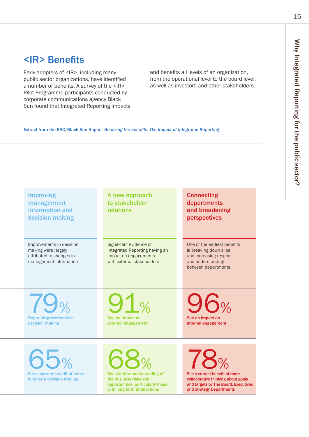## <IR> Benefits

Early adopters of <IR>, including many public sector organizations, have identified a number of benefits. A survey of the <IR> Pilot Programme participants conducted by corporate communications agency Black Sun found that Integrated Reporting impacts and benefits all levels of an organization, from the operational level to the board level, as well as investors and other stakeholders.

Extract from the IIRC/Black Sun Report *'Realizing the benefits: The impact of Integrated Reporting'*

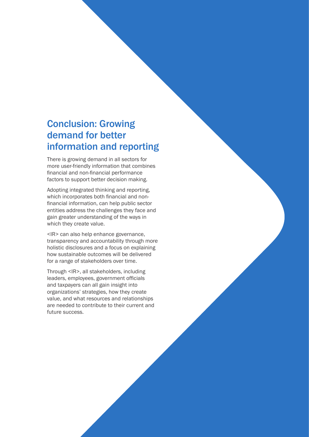# Conclusion: Growing demand for better information and reporting

There is growing demand in all sectors for more user-friendly information that combines financial and non-financial performance factors to support better decision making.

Adopting integrated thinking and reporting, which incorporates both financial and nonfinancial information, can help public sector entities address the challenges they face and gain greater understanding of the ways in which they create value.

<IR> can also help enhance governance, transparency and accountability through more holistic disclosures and a focus on explaining how sustainable outcomes will be delivered for a range of stakeholders over time.

Through <IR>, all stakeholders, including leaders, employees, government officials and taxpayers can all gain insight into organizations' strategies, how they create value, and what resources and relationships are needed to contribute to their current and future success.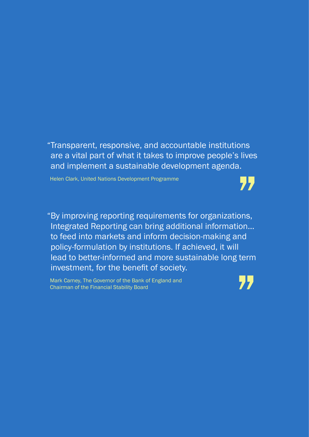"Transparent, responsive, and accountable institutions are a vital part of what it takes to improve people's lives and implement a sustainable development agenda.

Helen Clark, United Nations Development Programme



"By improving reporting requirements for organizations, Integrated Reporting can bring additional information... to feed into markets and inform decision-making and policy-formulation by institutions. If achieved, it will lead to better-informed and more sustainable long term investment, for the benefit of society.

Mark Carney, The Governor of the Bank of England and Chairman of the Financial Stability Board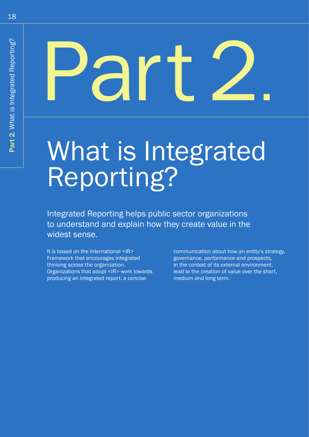# Part 2.

# What is Integrated Reporting?

Integrated Reporting helps public sector organizations to understand and explain how they create value in the widest sense.

It is based on the International <IR> Framework that encourages integrated thinking across the organization. Organizations that adopt <IR> work towards producing an integrated report: a concise

communication about how an entity's strategy, governance, performance and prospects, in the context of its external environment, lead to the creation of value over the short, medium and long term.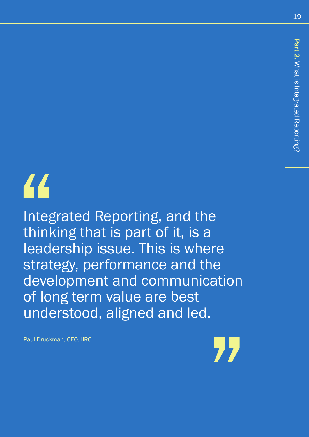# 44

Integrated Reporting, and the thinking that is part of it, is a leadership issue. This is where strategy, performance and the development and communication of long term value are best understood, aligned and led.

Paul Druckman, CEO, IIRC

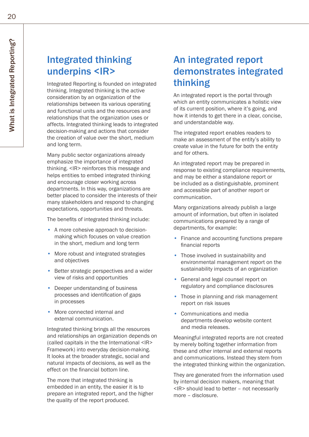# Integrated thinking underpins <IR>

Integrated Reporting is founded on integrated thinking. Integrated thinking is the active consideration by an organization of the relationships between its various operating and functional units and the resources and relationships that the organization uses or affects. Integrated thinking leads to integrated decision-making and actions that consider the creation of value over the short, medium and long term.

Many public sector organizations already emphasize the importance of integrated thinking. <IR> reinforces this message and helps entities to embed integrated thinking and encourage closer working across departments. In this way, organizations are better placed to consider the interests of their many stakeholders and respond to changing expectations, opportunities and threats.

The benefits of integrated thinking include:

- A more cohesive approach to decisionmaking which focuses on value creation in the short, medium and long term
- More robust and integrated strategies and objectives
- Better strategic perspectives and a wider view of risks and opportunities
- Deeper understanding of business processes and identification of gaps in processes
- More connected internal and external communication.

Integrated thinking brings all the resources and relationships an organization depends on (called capitals in the the International <IR> Framework) into everyday decision-making. It looks at the broader strategic, social and natural impacts of decisions, as well as the effect on the financial bottom line.

The more that integrated thinking is embedded in an entity, the easier it is to prepare an integrated report, and the higher the quality of the report produced.

# An integrated report demonstrates integrated thinking

An integrated report is the portal through which an entity communicates a holistic view of its current position, where it's going, and how it intends to get there in a clear, concise, and understandable way.

The integrated report enables readers to make an assessment of the entity's ability to create value in the future for both the entity and for others.

An integrated report may be prepared in response to existing compliance requirements, and may be either a standalone report or be included as a distinguishable, prominent and accessible part of another report or communication.

Many organizations already publish a large amount of information, but often in isolated communications prepared by a range of departments, for example:

- Finance and accounting functions prepare financial reports
- Those involved in sustainability and environmental management report on the sustainability impacts of an organization
- General and legal counsel report on regulatory and compliance disclosures
- Those in planning and risk management report on risk issues
- Communications and media departments develop website content and media releases.

Meaningful integrated reports are not created by merely bolting together information from these and other internal and external reports and communications. Instead they stem from the integrated thinking within the organization.

They are generated from the information used by internal decision makers, meaning that <IR> should lead to better – not necessarily more – disclosure.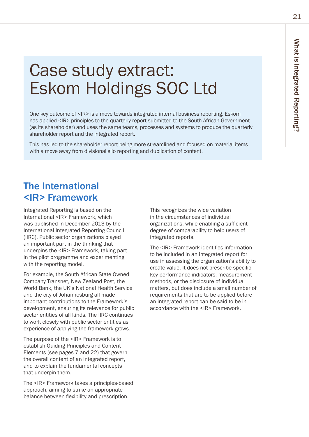# Case study extract: Eskom Holdings SOC Ltd

One key outcome of <IR> is a move towards integrated internal business reporting. Eskom has applied <IR> principles to the quarterly report submitted to the South African Government (as its shareholder) and uses the same teams, processes and systems to produce the quarterly shareholder report and the integrated report.

This has led to the shareholder report being more streamlined and focused on material items with a move away from divisional silo reporting and duplication of content.

# The International <IR> Framework

Integrated Reporting is based on the International <IR> Framework, which was published in December 2013 by the International Integrated Reporting Council (IIRC). Public sector organizations played an important part in the thinking that underpins the <IR> Framework, taking part in the pilot programme and experimenting with the reporting model.

For example, the South African State Owned Company Transnet, New Zealand Post, the World Bank, the UK's National Health Service and the city of Johannesburg all made important contributions to the Framework's development, ensuring its relevance for public sector entities of all kinds. The IIRC continues to work closely with public sector entities as experience of applying the framework grows.

The purpose of the <IR> Framework is to establish Guiding Principles and Content Elements (see pages 7 and 22) that govern the overall content of an integrated report, and to explain the fundamental concepts that underpin them.

The <IR> Framework takes a principles-based approach, aiming to strike an appropriate balance between flexibility and prescription.

This recognizes the wide variation in the circumstances of individual organizations, while enabling a sufficient degree of comparability to help users of integrated reports.

The <IR> Framework identifies information to be included in an integrated report for use in assessing the organization's ability to create value. It does not prescribe specific key performance indicators, measurement methods, or the disclosure of individual matters, but does include a small number of requirements that are to be applied before an integrated report can be said to be in accordance with the <IR> Framework.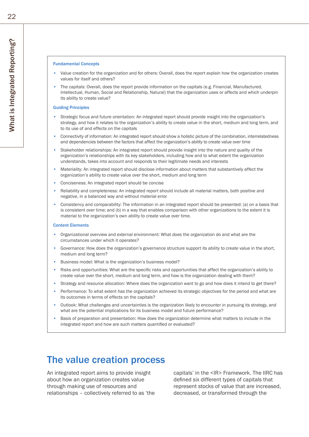### Fundamental Concepts

- Value creation for the organization and for others: Overall, does the report explain how the organization creates values for itself and others?
- The capitals: Overall, does the report provide information on the capitals (e.g. Financial, Manufactured, Intellectual, Human, Social and Relationship, Natural) that the organization uses or affects and which underpin its ability to create value?

### Guiding Principles

- Strategic focus and future orientation: An integrated report should provide insight into the organization's strategy, and how it relates to the organization's ability to create value in the short, medium and long term, and to its use of and effects on the capitals
- Connectivity of information: An integrated report should show a holistic picture of the combination, interrelatedness and dependencies between the factors that affect the organization's ability to create value over time
- Stakeholder relationships: An integrated report should provide insight into the nature and quality of the organization's relationships with its key stakeholders, including how and to what extent the organization understands, takes into account and responds to their legitimate needs and interests
- Materiality: An integrated report should disclose information about matters that substantively affect the organization's ability to create value over the short, medium and long term
- Conciseness: An integrated report should be concise
- Reliability and completeness: An integrated report should include all material matters, both positive and negative, in a balanced way and without material error
- Consistency and comparability: The information in an integrated report should be presented: (a) on a basis that is consistent over time; and (b) in a way that enables comparison with other organizations to the extent it is material to the organization's own ability to create value over time.

### Content Elements

- Organizational overview and external environment: What does the organization do and what are the circumstances under which it operates?
- Governance: How does the organization's governance structure support its ability to create value in the short, medium and long term?
- Business model: What is the organization's business model?
- Risks and opportunities: What are the specific risks and opportunities that affect the organization's ability to create value over the short, medium and long term, and how is the organization dealing with them?
- Strategy and resource allocation: Where does the organization want to go and how does it intend to get there?
- Performance: To what extent has the organization achieved its strategic objectives for the period and what are its outcomes in terms of effects on the capitals?
- Outlook: What challenges and uncertainties is the organization likely to encounter in pursuing its strategy, and what are the potential implications for its business model and future performance?
- Basis of preparation and presentation: How does the organization determine what matters to include in the integrated report and how are such matters quantified or evaluated?

# The value creation process

An integrated report aims to provide insight about how an organization creates value through making use of resources and relationships – collectively referred to as 'the capitals' in the <IR> Framework. The IIRC has defined six different types of capitals that represent stocks of value that are increased, decreased, or transformed through the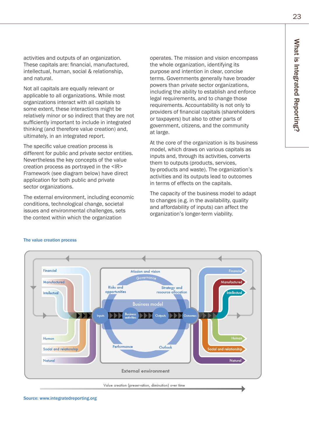activities and outputs of an organization. These capitals are: financial, manufactured, intellectual, human, social & relationship, and natural.

Not all capitals are equally relevant or applicable to all organizations. While most organizations interact with all capitals to some extent, these interactions might be relatively minor or so indirect that they are not sufficiently important to include in integrated thinking (and therefore value creation) and, ultimately, in an integrated report.

The specific value creation process is different for public and private sector entities. Nevertheless the key concepts of the value creation process as portrayed in the <IR> Framework (see diagram below) have direct application for both public and private sector organizations.

The external environment, including economic conditions, technological change, societal issues and environmental challenges, sets the context within which the organization

operates. The mission and vision encompass the whole organization, identifying its purpose and intention in clear, concise terms. Governments generally have broader powers than private sector organizations, including the ability to establish and enforce legal requirements, and to change those requirements. Accountability is not only to providers of financial capitals (shareholders or taxpayers) but also to other parts of government, citizens, and the community at large.

At the core of the organization is its business model, which draws on various capitals as inputs and, through its activities, converts them to outputs (products, services, by-products and waste). The organization's activities and its outputs lead to outcomes in terms of effects on the capitals.

The capacity of the business model to adapt to changes (e.g. in the availability, quality and affordability of inputs) can affect the organization's longer-term viability.



#### The value creation process

Source: www.integratedreporting.org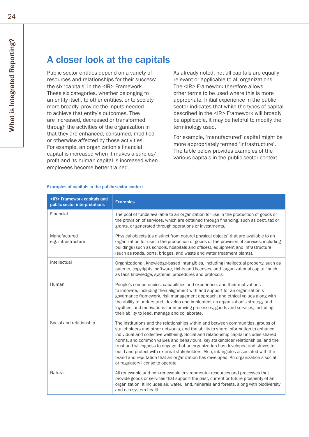# A closer look at the capitals

Public sector entities depend on a variety of resources and relationships for their success: the six 'capitals' in the <IR> Framework. These six categories, whether belonging to an entity itself, to other entities, or to society more broadly, provide the inputs needed to achieve that entity's outcomes. They are increased, decreased or transformed through the activities of the organization in that they are enhanced, consumed, modified or otherwise affected by those activities. For example, an organization's financial capital is increased when it makes a surplus/ profit and its human capital is increased when employees become better trained.

As already noted, not all capitals are equally relevant or applicable to all organizations. The <IR> Framework therefore allows other terms to be used where this is more appropriate. Initial experience in the public sector indicates that while the types of capital described in the <IR> Framework will broadly be applicable, it may be helpful to modify the terminology used.

For example, 'manufactured' capital might be more appropriately termed 'infrastructure'. The table below provides examples of the various capitals in the public sector context.

#### Examples of capitals in the public sector context

| <ir> Framework capitals and<br/>public sector interpretations</ir> | <b>Examples</b>                                                                                                                                                                                                                                                                                                                                                                                                                                                                                                                                                                                                                                       |
|--------------------------------------------------------------------|-------------------------------------------------------------------------------------------------------------------------------------------------------------------------------------------------------------------------------------------------------------------------------------------------------------------------------------------------------------------------------------------------------------------------------------------------------------------------------------------------------------------------------------------------------------------------------------------------------------------------------------------------------|
| Financial                                                          | The pool of funds available to an organization for use in the production of goods or<br>the provision of services, which are obtained through financing, such as debt, tax or<br>grants, or generated through operations or investments.                                                                                                                                                                                                                                                                                                                                                                                                              |
| Manufactured<br>e.g. infrastructure                                | Physical objects (as distinct from natural physical objects) that are available to an<br>organization for use in the production of goods or the provision of services, including<br>buildings (such as schools, hospitals and offices), equipment and infrastructure<br>(such as roads, ports, bridges, and waste and water treatment plants).                                                                                                                                                                                                                                                                                                        |
| Intellectual                                                       | Organizational, knowledge-based intangibles, including intellectual property, such as<br>patents, copyrights, software, rights and licenses, and 'organizational capital' such<br>as tacit knowledge, systems, procedures and protocols.                                                                                                                                                                                                                                                                                                                                                                                                              |
| Human                                                              | People's competencies, capabilities and experience, and their motivations<br>to innovate, including their alignment with and support for an organization's<br>governance framework, risk management approach, and ethical values along with<br>the ability to understand, develop and implement an organization's strategy and<br>loyalties, and motivations for improving processes, goods and services, including<br>their ability to lead, manage and collaborate.                                                                                                                                                                                 |
| Social and relationship                                            | The institutions and the relationships within and between communities, groups of<br>stakeholders and other networks, and the ability to share information to enhance<br>individual and collective wellbeing. Social and relationship capital includes shared<br>norms, and common values and behaviours, key stakeholder relationships, and the<br>trust and willingness to engage that an organization has developed and strives to<br>build and protect with external stakeholders. Also, intangibles associated with the<br>brand and reputation that an organization has developed. An organization's social<br>or regulatory license to operate. |
| Natural                                                            | All renewable and non-renewable environmental resources and processes that<br>provide goods or services that support the past, current or future prosperity of an<br>organization. It includes air, water, land, minerals and forests, along with biodiversity<br>and eco-system health.                                                                                                                                                                                                                                                                                                                                                              |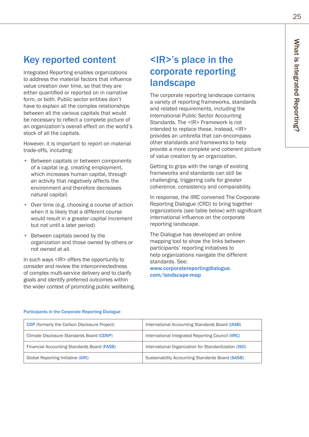# Key reported content

Integrated Reporting enables organizations to address the material factors that influence value creation over time, so that they are either quantified or reported on in narrative form, or both. Public sector entities don't have to explain all the complex relationships between all the various capitals that would be necessary to reflect a complete picture of an organization's overall effect on the world's stock of all the capitals.

However, it is important to report on material trade-offs, including:

- Between capitals or between components of a capital (e.g. creating employment, which increases human capital, through an activity that negatively affects the environment and therefore decreases natural capital)
- Over time (e.g. choosing a course of action when it is likely that a different course would result in a greater capital increment but not until a later period)
- Between capitals owned by the organization and those owned by others or not owned at all.

In such ways <IR> offers the opportunity to consider and review the interconnectedness of complex multi-service delivery and to clarify goals and identify preferred outcomes within the wider context of promoting public wellbeing.

# <IR>'s place in the corporate reporting landscape

The corporate reporting landscape contains a variety of reporting frameworks, standards and related requirements, including the International Public Sector Accounting Standards. The <IR> Framework is not intended to replace these. Instead, <IR> provides an umbrella that can encompass other standards and frameworks to help provide a more complete and coherent picture of value creation by an organization.

Getting to grips with the range of existing frameworks and standards can still be challenging, triggering calls for greater coherence, consistency and comparability.

In response, the IIRC convened The Corporate Reporting Dialogue (CRD) to bring together organizations (see table below) with significant international influence on the corporate reporting landscape.

The Dialogue has developed an online mapping tool to show the links between participants' reporting initiatives to help organizations navigate the different standards. See:

www.corporatereportingdialogue. com/landscape-map

| <b>CDP</b> (formerly the Carbon Disclosure Project) | International Accounting Standards Board (IASB)      |
|-----------------------------------------------------|------------------------------------------------------|
| Climate Disclosure Standards Board (CDSP)           | International Integrated Reporting Council (IIRC)    |
| Financial Accounting Standards Board (FASB)         | International Organization for Standardization (ISO) |
| <b>Global Reporting Initiative (GRI)</b>            | Sustainability Accounting Standards Board (SASB)     |

### Participants in the Corporate Reporting Dialogue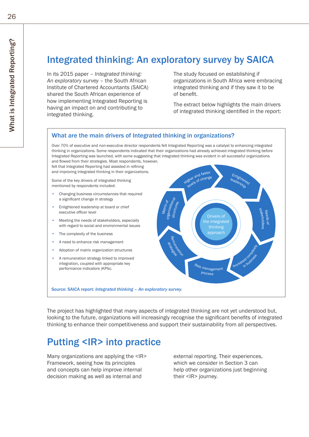# Integrated thinking: An exploratory survey by SAICA

In its 2015 paper – *Integrated thinking: An exploratory survey* – the South African Institute of Chartered Accountants (SAICA) shared the South African experience of how implementing Integrated Reporting is having an impact on and contributing to integrated thinking.

The study focused on establishing if organizations in South Africa were embracing integrated thinking and if they saw it to be of benefit.

The extract below highlights the main drivers of integrated thinking identified in the report:

### What are the main drivers of Integrated thinking in organizations?

Over 70% of executive and non-executive director respondents felt Integrated Reporting was a catalyst to enhancing integrated thinking in organizations. Some respondents indicated that their organizations had already achieved integrated thinking before Integrated Reporting was launched, with some suggesting that integrated thinking was evident in all successful organizations and flowed from their strategies. Most respondents, however,

felt that Integrated Reporting had assisted in refining and improving integrated thinking in their organizations.

Some of the key drivers of integrated thinking mentioned by respondents included:

- Changing business circumstances that required a significant change in strategy
- Enlightened leadership at board or chief executive officer level
- Meeting the needs of stakeholders, especially with regard to social and environmental issues
- The complexity of the business
- A need to enhance risk management
- Adoption of matrix organization structures
- A remuneration strategy linked to improved integration, coupled with appropriate key performance indicators (KPIs).

Higher and faster leadership Enlightened<br><sup>eaderst</sub>ened</sup> stake⊃ ol $\Omega$ rs Needs of Increased complexity R*isk manage*ment proces<sup>s</sup> Republika Strategies organizational Matrix organizations Drivers of thinking approach

Source: SAICA report: *Integrated thinking – An exploratory survey.*

The project has highlighted that many aspects of integrated thinking are not yet understood but, looking to the future, organizations will increasingly recognise the significant benefits of integrated thinking to enhance their competitiveness and support their sustainability from all perspectives.

# Putting <IR> into practice

Many organizations are applying the  $\langle IR \rangle$ Framework, seeing how its principles and concepts can help improve internal decision making as well as internal and

external reporting. Their experiences, which we consider in Section 3 can help other organizations just beginning their <IR> journey.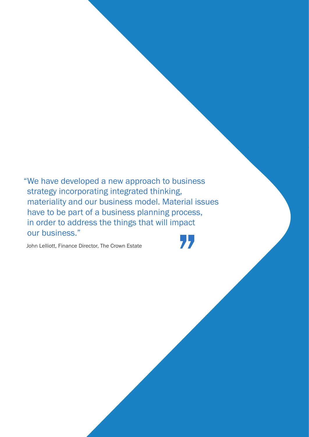"We have developed a new approach to business strategy incorporating integrated thinking, materiality and our business model. Material issues have to be part of a business planning process, in order to address the things that will impact our business." 77

John Lelliott, Finance Director, The Crown Estate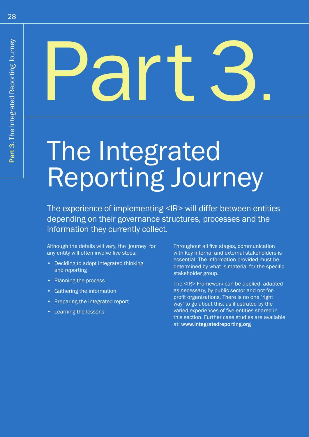28

# Part 3.

# The Integrated Reporting Journey

The experience of implementing <IR> will differ between entities depending on their governance structures, processes and the information they currently collect.

Although the details will vary, the 'journey' for any entity will often involve five steps:

- Deciding to adopt integrated thinking and reporting
- Planning the process
- Gathering the information
- Preparing the integrated report
- Learning the lessons

Throughout all five stages, communication with key internal and external stakeholders is essential. The information provided must be determined by what is material for the specific stakeholder group.

The <IR> Framework can be applied, adapted as necessary, by public sector and not-forprofit organizations. There is no one 'right way' to go about this, as illustrated by the varied experiences of five entities shared in this section. Further case studies are available at: www.integratedreporting.org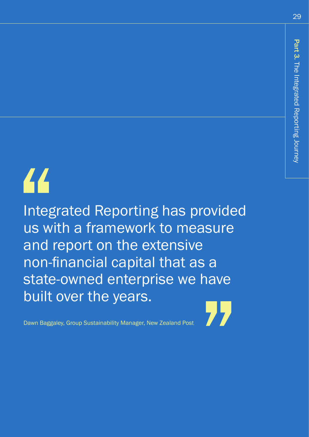# 44

Integrated Reporting has provided us with a framework to measure and report on the extensive non-financial capital that as a state-owned enterprise we have built over the years. 77

Dawn Baggaley, Group Sustainability Manager, New Zealand Post

29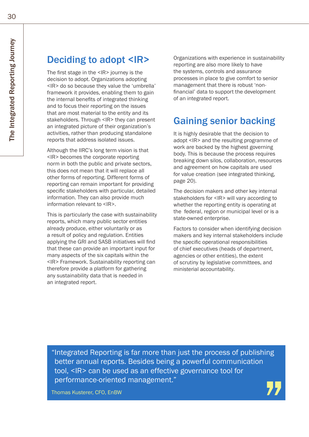# Deciding to adopt <IR>

The first stage in the <IR> journey is the decision to adopt. Organizations adopting <IR> do so because they value the 'umbrella' framework it provides, enabling them to gain the internal benefits of integrated thinking and to focus their reporting on the issues that are most material to the entity and its stakeholders. Through <IR> they can present an integrated picture of their organization's activities, rather than producing standalone reports that address isolated issues.

Although the IIRC's long term vision is that <IR> becomes the corporate reporting norm in both the public and private sectors, this does not mean that it will replace all other forms of reporting. Different forms of reporting can remain important for providing specific stakeholders with particular, detailed information. They can also provide much information relevant to <IR>.

This is particularly the case with sustainability reports, which many public sector entities already produce, either voluntarily or as a result of policy and regulation. Entities applying the GRI and SASB initiatives will find that these can provide an important input for many aspects of the six capitals within the <IR> Framework. Sustainability reporting can therefore provide a platform for gathering any sustainability data that is needed in an integrated report.

Organizations with experience in sustainability reporting are also more likely to have the systems, controls and assurance processes in place to give comfort to senior management that there is robust 'nonfinancial' data to support the development of an integrated report.

# Gaining senior backing

It is highly desirable that the decision to adopt <IR> and the resulting programme of work are backed by the highest governing body. This is because the process requires breaking down silos, collaboration, resources and agreement on how capitals are used for value creation (see integrated thinking, page 20).

The decision makers and other key internal stakeholders for <IR> will vary according to whether the reporting entity is operating at the federal, region or municipal level or is a state-owned enterprise.

Factors to consider when identifying decision makers and key internal stakeholders include the specific operational responsibilities of chief executives (heads of department, agencies or other entities), the extent of scrutiny by legislative committees, and ministerial accountability.

"Integrated Reporting is far more than just the process of publishing better annual reports. Besides being a powerful communication tool, <IR> can be used as an effective governance tool for performance-oriented management."

Thomas Kusterer, CFO, EnBW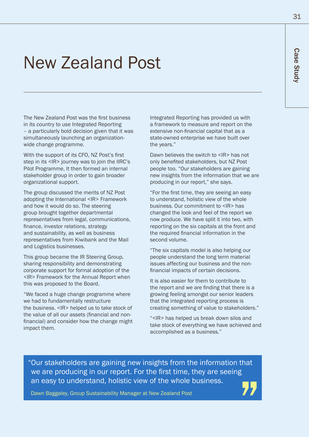# New Zealand Post

The New Zealand Post was the first business in its country to use Integrated Reporting – a particularly bold decision given that it was simultaneously launching an organizationwide change programme.

With the support of its CFO, NZ Post's first step in its <IR> journey was to join the IIRC's Pilot Programme. It then formed an internal stakeholder group in order to gain broader organizational support.

The group discussed the merits of NZ Post adopting the International <IR> Framework and how it would do so. The steering group brought together departmental representatives from legal, communications, finance, investor relations, strategy and sustainability, as well as business representatives from Kiwibank and the Mail and Logistics businesses.

This group became the IR Steering Group, sharing responsibility and demonstrating corporate support for formal adoption of the <IR> Framework for the Annual Report when this was proposed to the Board.

"We faced a huge change programme where we had to fundamentally restructure the business. <IR> helped us to take stock of the value of all our assets (financial and nonfinancial) and consider how the change might impact them.

Integrated Reporting has provided us with a framework to measure and report on the extensive non-financial capital that as a state-owned enterprise we have built over the years."

Dawn believes the switch to <IR> has not only benefited stakeholders, but NZ Post people too. "Our stakeholders are gaining new insights from the information that we are producing in our report," she says.

"For the first time, they are seeing an easy to understand, holistic view of the whole business. Our commitment to <IR> has changed the look and feel of the report we now produce. We have split it into two, with reporting on the six capitals at the front and the required financial information in the second volume.

"The six capitals model is also helping our people understand the long term material issues affecting our business and the nonfinancial impacts of certain decisions.

It is also easier for them to contribute to the report and we are finding that there is a growing feeling amongst our senior leaders that the integrated reporting process is creating something of value to stakeholders."

"<IR> has helped us break down silos and take stock of everything we have achieved and accomplished as a business."

"Our stakeholders are gaining new insights from the information that we are producing in our report. For the first time, they are seeing an easy to understand, holistic view of the whole business.

Dawn Baggaley, Group Sustainability Manager at New Zealand Post

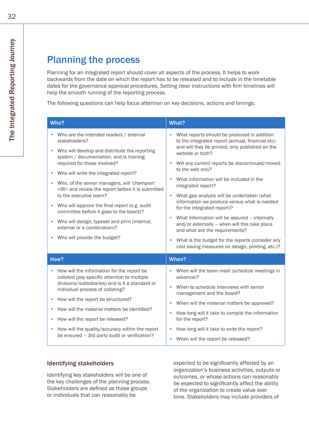# Planning the process

Planning for an integrated report should cover all aspects of the process. It helps to work backwards from the date on which the report has to be released and to include in the timetable dates for the governance approval procedures. Setting clear instructions with firm timelines will help the smooth running of the reporting process.

The following questions can help focus attention on key decisions, actions and timings:

| Who?                                                                                                                                                                                   |                                                                                   | What?                                                                                                                              |
|----------------------------------------------------------------------------------------------------------------------------------------------------------------------------------------|-----------------------------------------------------------------------------------|------------------------------------------------------------------------------------------------------------------------------------|
| Who are the intended readers / external<br>stakeholders?                                                                                                                               |                                                                                   | What reports should be produced in addition<br>to the integrated report (annual, financial etc)                                    |
| Who will develop and distribute the reporting<br>system / documentation, and is training<br>required for those involved?                                                               |                                                                                   | and will they be printed, only published on the<br>website or both?<br>Will any current reports be discontinued/moved<br>$\bullet$ |
| Who will write the integrated report?                                                                                                                                                  |                                                                                   | to the web only?                                                                                                                   |
| Who, of the senior managers, will 'champion'<br><ir> and review the report before it is submitted</ir>                                                                                 |                                                                                   | What information will be included in the<br>integrated report?                                                                     |
| to the executive team?                                                                                                                                                                 |                                                                                   | What gap analysis will be undertaken (what<br>information we produce versus what is needed                                         |
| Who will approve the final report (e.g. audit<br>committee before it goes to the board)?                                                                                               |                                                                                   | for the integrated report)?                                                                                                        |
| Who will design, typeset and print (internal,<br>external or a combination)?                                                                                                           |                                                                                   | What information will be assured - internally<br>and/or externally - when will this take place<br>and what are the requirements?   |
| Who will provide the budget?                                                                                                                                                           |                                                                                   | What is the budget for the reports (consider any<br>cost saving measures on design, printing, etc.)?                               |
| How?                                                                                                                                                                                   |                                                                                   | When?                                                                                                                              |
| How will the information for the report be<br>۰<br>collated (pay specific attention to multiple<br>divisions/subsidiaries) and is it a standard or<br>individual process of collating? | When will the team meet (schedule meetings in<br>advance)?                        |                                                                                                                                    |
|                                                                                                                                                                                        | When to schedule interviews with senior<br>$\bullet$<br>management and the board? |                                                                                                                                    |
| How will the report be structured?                                                                                                                                                     |                                                                                   | When will the material matters be approved?                                                                                        |
| How will the material matters be identified?                                                                                                                                           |                                                                                   | How long will it take to compile the information                                                                                   |
|                                                                                                                                                                                        | How will the report be released?                                                  | for the report?                                                                                                                    |
| How will the quality/accuracy within the report<br>٠<br>be ensured - 3rd party audit or verification?                                                                                  |                                                                                   | How long will it take to write the report?<br>۰                                                                                    |
|                                                                                                                                                                                        | When will the report be released?<br>۰                                            |                                                                                                                                    |

### Identifying stakeholders

Identifying key stakeholders will be one of the key challenges of the planning process. Stakeholders are defined as those groups or individuals that can reasonably be

expected to be significantly affected by an organization's business activities, outputs or outcomes, or whose actions can reasonably be expected to significantly affect the ability of the organization to create value over time. Stakeholders may include providers of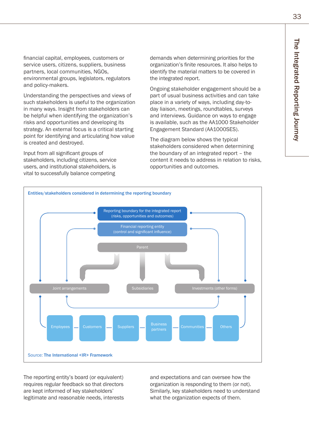financial capital, employees, customers or service users, citizens, suppliers, business partners, local communities, NGOs, environmental groups, legislators, regulators and policy-makers.

Understanding the perspectives and views of such stakeholders is useful to the organization in many ways. Insight from stakeholders can be helpful when identifying the organization's risks and opportunities and developing its strategy. An external focus is a critical starting point for identifying and articulating how value is created and destroyed.

Input from all significant groups of stakeholders, including citizens, service users, and institutional stakeholders, is vital to successfully balance competing

demands when determining priorities for the organization's finite resources. It also helps to identify the material matters to be covered in the integrated report.

Ongoing stakeholder engagement should be a part of usual business activities and can take place in a variety of ways, including day-today liaison, meetings, roundtables, surveys and interviews. Guidance on ways to engage is available, such as the AA1000 Stakeholder Engagement Standard (AA1000SES).

The diagram below shows the typical stakeholders considered when determining the boundary of an integrated report – the content it needs to address in relation to risks, opportunities and outcomes.



The reporting entity's board (or equivalent) requires regular feedback so that directors are kept informed of key stakeholders' legitimate and reasonable needs, interests

and expectations and can oversee how the organization is responding to them (or not). Similarly, key stakeholders need to understand what the organization expects of them.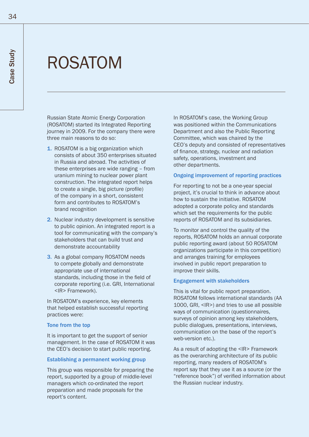# ROSATOM

Russian State Atomic Energy Corporation (ROSATOM) started its Integrated Reporting journey in 2009. For the company there were three main reasons to do so:

- 1. ROSATOM is a big organization which consists of about 350 enterprises situated in Russia and abroad. The activities of these enterprises are wide ranging – from uranium mining to nuclear power plant construction. The integrated report helps to create a single, big picture (profile) of the company in a short, consistent form and contributes to ROSATOM's brand recognition
- 2. Nuclear industry development is sensitive to public opinion. An integrated report is a tool for communicating with the company's stakeholders that can build trust and demonstrate accountability
- 3. As a global company ROSATOM needs to compete globally and demonstrate appropriate use of international standards, including those in the field of corporate reporting (i.e. GRI, International <IR> Framework).

In ROSATOM's experience, key elements that helped establish successful reporting practices were:

### Tone from the top

It is important to get the support of senior management. In the case of ROSATOM it was the CEO's decision to start public reporting.

### Establishing a permanent working group

This group was responsible for preparing the report, supported by a group of middle-level managers which co-ordinated the report preparation and made proposals for the report's content.

In ROSATOM's case, the Working Group was positioned within the Communications Department and also the Public Reporting Committee, which was chaired by the CEO's deputy and consisted of representatives of finance, strategy, nuclear and radiation safety, operations, investment and other departments.

### Ongoing improvement of reporting practices

For reporting to not be a one-year special project, it's crucial to think in advance about how to sustain the initiative. ROSATOM adopted a corporate policy and standards which set the requirements for the public reports of ROSATOM and its subsidiaries.

To monitor and control the quality of the reports, ROSATOM holds an annual corporate public reporting award (about 50 ROSATOM organizations participate in this competition) and arranges training for employees involved in public report preparation to improve their skills.

### Engagement with stakeholders

This is vital for public report preparation. ROSATOM follows international standards (AA 1000, GRI, <IR>) and tries to use all possible ways of communication (questionnaires, surveys of opinion among key stakeholders, public dialogues, presentations, interviews, communication on the base of the report's web-version etc.).

As a result of adopting the <IR> Framework as the overarching architecture of its public reporting, many readers of ROSATOM's report say that they use it as a source (or the "reference book") of verified information about the Russian nuclear industry.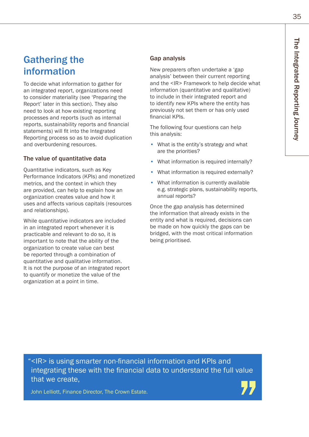# Gathering the information

To decide what information to gather for an integrated report, organizations need to consider materiality (see 'Preparing the Report' later in this section). They also need to look at how existing reporting processes and reports (such as internal reports, sustainability reports and financial statements) will fit into the Integrated Reporting process so as to avoid duplication and overburdening resources.

### The value of quantitative data

Quantitative indicators, such as Key Performance Indicators (KPIs) and monetized metrics, and the context in which they are provided, can help to explain how an organization creates value and how it uses and affects various capitals (resources and relationships).

While quantitative indicators are included in an integrated report whenever it is practicable and relevant to do so, it is important to note that the ability of the organization to create value can best be reported through a combination of quantitative and qualitative information. It is not the purpose of an integrated report to quantify or monetize the value of the organization at a point in time.

### Gap analysis

New preparers often undertake a 'gap analysis' between their current reporting and the <IR> Framework to help decide what information (quantitative and qualitative) to include in their integrated report and to identify new KPIs where the entity has previously not set them or has only used financial KPIs.

The following four questions can help this analysis:

- What is the entity's strategy and what are the priorities?
- What information is required internally?
- What information is required externally?
- What information is currently available e.g. strategic plans, sustainability reports, annual reports?

Once the gap analysis has determined the information that already exists in the entity and what is required, decisions can be made on how quickly the gaps can be bridged, with the most critical information being prioritised.

"<IR> is using smarter non-financial information and KPIs and integrating these with the financial data to understand the full value that we create,

John Lelliott, Finance Director, The Crown Estate.

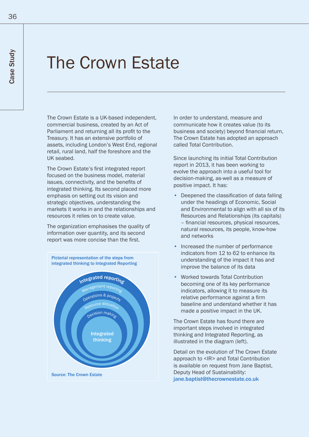# The Crown Estate

The Crown Estate is a UK-based independent, commercial business, created by an Act of Parliament and returning all its profit to the Treasury. It has an extensive portfolio of assets, including London's West End, regional retail, rural land, half the foreshore and the UK seabed.

The Crown Estate's first integrated report focused on the business model, material issues, connectivity, and the benefits of integrated thinking. Its second placed more emphasis on setting out its vision and strategic objectives, understanding the markets it works in and the relationships and resources it relies on to create value.

The organization emphasises the quality of information over quantity, and its second report was more concise than the first.



In order to understand, measure and communicate how it creates value (to its business and society) beyond financial return, The Crown Estate has adopted an approach called Total Contribution.

Since launching its initial Total Contribution report in 2013, it has been working to evolve the approach into a useful tool for decision-making, as-well as a measure of positive impact. It has:

- Deepened the classification of data falling under the headings of Economic, Social and Environmental to align with all six of its Resources and Relationships (its capitals) – financial resources, physical resources, natural resources, its people, know-how and networks
- Increased the number of performance indicators from 12 to 62 to enhance its understanding of the impact it has and improve the balance of its data
- Worked towards Total Contribution becoming one of its key performance indicators, allowing it to measure its relative performance against a firm baseline and understand whether it has made a positive impact in the UK.

The Crown Estate has found there are important steps involved in integrated thinking and Integrated Reporting, as illustrated in the diagram (left).

Detail on the evolution of The Crown Estate approach to <IR> and Total Contribution is available on request from Jane Baptist, Deputy Head of Sustainability: jane.baptist@thecrownestate.co.uk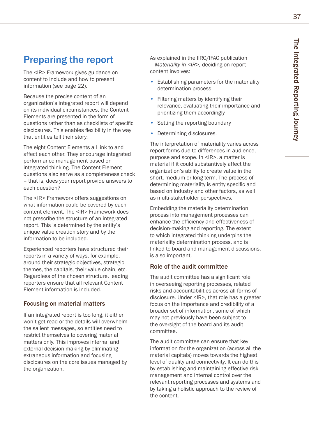# Preparing the report

The <IR> Framework gives guidance on content to include and how to present information (see page 22).

Because the precise content of an organization's integrated report will depend on its individual circumstances, the Content Elements are presented in the form of questions rather than as checklists of specific disclosures. This enables flexibility in the way that entities tell their story.

The eight Content Elements all link to and affect each other. They encourage integrated performance management based on integrated thinking. The Content Element questions also serve as a completeness check – that is, does your report provide answers to each question?

The <IR> Framework offers suggestions on what information could be covered by each content element. The <IR> Framework does not prescribe the structure of an integrated report. This is determined by the entity's unique value creation story and by the information to be included.

Experienced reporters have structured their reports in a variety of ways, for example, around their strategic objectives, strategic themes, the capitals, their value chain, etc. Regardless of the chosen structure, leading reporters ensure that all relevant Content Element information is included.

### Focusing on material matters

If an integrated report is too long, it either won't get read or the details will overwhelm the salient messages, so entities need to restrict themselves to covering material matters only. This improves internal and external decision-making by eliminating extraneous information and focusing disclosures on the core issues managed by the organization.

As explained in the IIRC/IFAC publication – *Materiality in <IR>,* deciding on report content involves:

- Establishing parameters for the materiality determination process
- Filtering matters by identifying their relevance, evaluating their importance and prioritizing them accordingly
- Setting the reporting boundary
- Determining disclosures.

The interpretation of materiality varies across report forms due to differences in audience, purpose and scope. In <IR>, a matter is material if it could substantively affect the organization's ability to create value in the short, medium or long term. The process of determining materiality is entity specific and based on industry and other factors, as well as multi-stakeholder perspectives.

Embedding the materiality determination process into management processes can enhance the efficiency and effectiveness of decision-making and reporting. The extent to which integrated thinking underpins the materiality determination process, and is linked to board and management discussions, is also important.

### Role of the audit committee

The audit committee has a significant role in overseeing reporting processes, related risks and accountabilities across all forms of disclosure. Under <IR>, that role has a greater focus on the importance and credibility of a broader set of information, some of which may not previously have been subject to the oversight of the board and its audit committee.

The audit committee can ensure that key information for the organization (across all the material capitals) moves towards the highest level of quality and connectivity. It can do this by establishing and maintaining effective risk management and internal control over the relevant reporting processes and systems and by taking a holistic approach to the review of the content.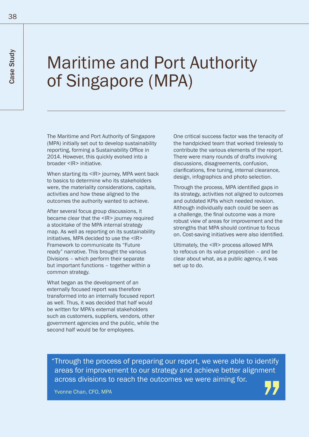# Maritime and Port Authority of Singapore (MPA)

The Maritime and Port Authority of Singapore (MPA) initially set out to develop sustainability reporting, forming a Sustainability Office in 2014. However, this quickly evolved into a broader <IR> initiative.

When starting its <IR> journey, MPA went back to basics to determine who its stakeholders were, the materiality considerations, capitals, activities and how these aligned to the outcomes the authority wanted to achieve.

After several focus group discussions, it became clear that the <IR> journey required a stocktake of the MPA internal strategy map. As well as reporting on its sustainability initiatives, MPA decided to use the <IR> Framework to communicate its "Future ready" narrative. This brought the various Divisions – which perform their separate but important functions – together within a common strategy.

What began as the development of an externally focused report was therefore transformed into an internally focused report as well. Thus, it was decided that half would be written for MPA's external stakeholders such as customers, suppliers, vendors, other government agencies and the public, while the second half would be for employees.

One critical success factor was the tenacity of the handpicked team that worked tirelessly to contribute the various elements of the report. There were many rounds of drafts involving discussions, disagreements, confusion, clarifications, fine tuning, internal clearance, design, infographics and photo selection.

Through the process, MPA identified gaps in its strategy, activities not aligned to outcomes and outdated KPIs which needed revision. Although individually each could be seen as a challenge, the final outcome was a more robust view of areas for improvement and the strengths that MPA should continue to focus on. Cost-saving initiatives were also identified.

Ultimately, the <IR> process allowed MPA to refocus on its value proposition – and be clear about what, as a public agency, it was set up to do.

"Through the process of preparing our report, we were able to identify areas for improvement to our strategy and achieve better alignment across divisions to reach the outcomes we were aiming for.

Yvonne Chan, CFO, MPA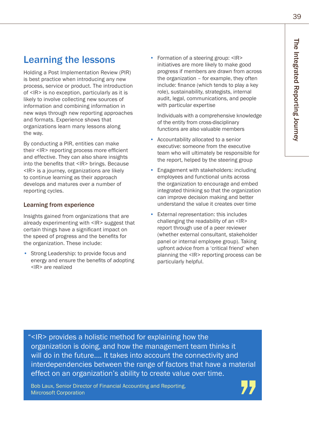# Learning the lessons

Holding a Post Implementation Review (PIR) is best practice when introducing any new process, service or product. The introduction of <IR> is no exception, particularly as it is likely to involve collecting new sources of information and combining information in new ways through new reporting approaches and formats. Experience shows that organizations learn many lessons along the way.

By conducting a PIR, entities can make their <IR> reporting process more efficient and effective. They can also share insights into the benefits that <IR> brings. Because <IR> is a journey, organizations are likely to continue learning as their approach develops and matures over a number of reporting cycles.

### Learning from experience

Insights gained from organizations that are already experimenting with <IR> suggest that certain things have a significant impact on the speed of progress and the benefits for the organization. These include:

• Strong Leadership: to provide focus and energy and ensure the benefits of adopting <IR> are realized

• Formation of a steering group: <IR> initiatives are more likely to make good progress if members are drawn from across the organization – for example, they often include: finance (which tends to play a key role), sustainability, strategists, internal audit, legal, communications, and people with particular expertise

Individuals with a comprehensive knowledge of the entity from cross-disciplinary functions are also valuable members

- Accountability allocated to a senior executive: someone from the executive team who will ultimately be responsible for the report, helped by the steering group
- Engagement with stakeholders: including employees and functional units across the organization to encourage and embed integrated thinking so that the organization can improve decision making and better understand the value it creates over time
- External representation: this includes challenging the readability of an <IR> report through use of a peer reviewer (whether external consultant, stakeholder panel or internal employee group). Taking upfront advice from a 'critical friend' when planning the <IR> reporting process can be particularly helpful.

"<IR> provides a holistic method for explaining how the organization is doing, and how the management team thinks it will do in the future…. It takes into account the connectivity and interdependencies between the range of factors that have a material effect on an organization's ability to create value over time.

Bob Laux, Senior Director of Financial Accounting and Reporting, Mircrosoft Corporation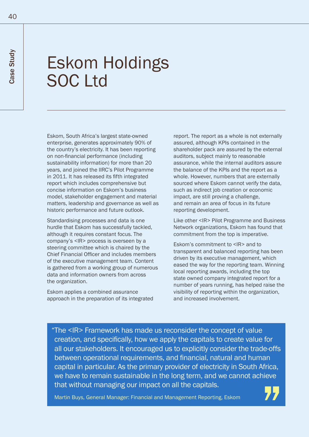# Eskom Holdings SOC Ltd

Eskom, South Africa's largest state-owned enterprise, generates approximately 90% of the country's electricity. It has been reporting on non-financial performance (including sustainability information) for more than 20 years, and joined the IIRC's Pilot Programme in 2011. It has released its fifth integrated report which includes comprehensive but concise information on Eskom's business model, stakeholder engagement and material matters, leadership and governance as well as historic performance and future outlook.

Standardising processes and data is one hurdle that Eskom has successfully tackled, although it requires constant focus. The company's <IR> process is overseen by a steering committee which is chaired by the Chief Financial Officer and includes members of the executive management team. Content is gathered from a working group of numerous data and information owners from across the organization.

Eskom applies a combined assurance approach in the preparation of its integrated

report. The report as a whole is not externally assured, although KPIs contained in the shareholder pack are assured by the external auditors, subject mainly to reasonable assurance, while the internal auditors assure the balance of the KPIs and the report as a whole. However, numbers that are externally sourced where Eskom cannot verify the data, such as indirect job creation or economic impact, are still proving a challenge, and remain an area of focus in its future reporting development.

Like other <IR> Pilot Programme and Business Network organizations, Eskom has found that commitment from the top is imperative.

Eskom's commitment to <IR> and to transparent and balanced reporting has been driven by its executive management, which eased the way for the reporting team. Winning local reporting awards, including the top state owned company integrated report for a number of years running, has helped raise the visibility of reporting within the organization, and increased involvement.

"The <IR> Framework has made us reconsider the concept of value creation, and specifically, how we apply the capitals to create value for all our stakeholders. It encouraged us to explicitly consider the trade-offs between operational requirements, and financial, natural and human capital in particular. As the primary provider of electricity in South Africa, we have to remain sustainable in the long term, and we cannot achieve that without managing our impact on all the capitals.

Martin Buys, General Manager: Financial and Management Reporting, Eskom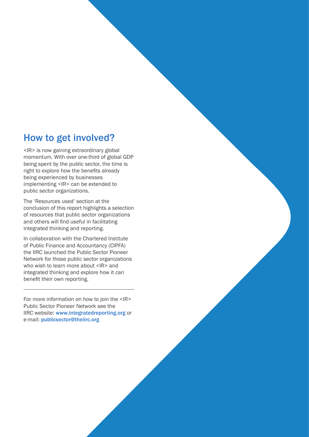# How to get involved?

<IR> is now gaining extraordinary global momentum. With over one-third of global GDP being spent by the public sector, the time is right to explore how the benefits already being experienced by businesses implementing <IR> can be extended to public sector organizations.

The 'Resources used' section at the conclusion of this report highlights a selection of resources that public sector organizations and others will find useful in facilitating integrated thinking and reporting.

In collaboration with the Chartered Institute of Public Finance and Accountancy (CIPFA) the IIRC launched the Public Sector Pioneer Network for those public sector organizations who wish to learn more about <IR> and integrated thinking and explore how it can benefit their own reporting.

For more information on how to join the <IR> Public Sector Pioneer Network see the IIRC website: www.integratedreporting.org or e-mail: publicsector@theiirc.org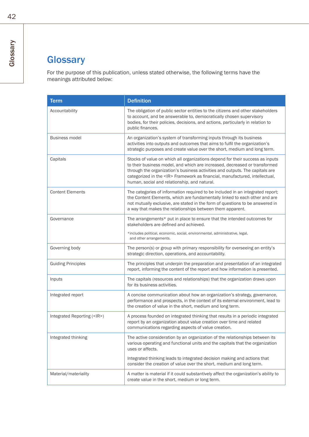# **Glossary**

For the purpose of this publication, unless stated otherwise, the following terms have the meanings attributed below:

| <b>Term</b>                       | <b>Definition</b>                                                                                                                                                                                                                                                                                                                                                                |
|-----------------------------------|----------------------------------------------------------------------------------------------------------------------------------------------------------------------------------------------------------------------------------------------------------------------------------------------------------------------------------------------------------------------------------|
| Accountability                    | The obligation of public sector entities to the citizens and other stakeholders<br>to account, and be answerable to, democratically chosen supervisory<br>bodies, for their policies, decisions, and actions, particularly in relation to<br>public finances.                                                                                                                    |
| <b>Business model</b>             | An organization's system of transforming inputs through its business<br>activities into outputs and outcomes that aims to fulfil the organization's<br>strategic purposes and create value over the short, medium and long term.                                                                                                                                                 |
| Capitals                          | Stocks of value on which all organizations depend for their success as inputs<br>to their business model, and which are increased, decreased or transformed<br>through the organization's business activities and outputs. The capitals are<br>categorized in the <ir> Framework as financial, manufactured, intellectual,<br/>human, social and relationship, and natural.</ir> |
| <b>Content Elements</b>           | The categories of information required to be included in an integrated report;<br>the Content Elements, which are fundamentally linked to each other and are<br>not mutually exclusive, are stated in the form of questions to be answered in<br>a way that makes the relationships between them apparent.                                                                       |
| Governance                        | The arrangements* put in place to ensure that the intended outcomes for<br>stakeholders are defined and achieved.                                                                                                                                                                                                                                                                |
|                                   | *includes political, economic, social, environmental, administrative, legal,<br>and other arrangements.                                                                                                                                                                                                                                                                          |
| Governing body                    | The person(s) or group with primary responsibility for overseeing an entity's<br>strategic direction, operations, and accountability.                                                                                                                                                                                                                                            |
| <b>Guiding Principles</b>         | The principles that underpin the preparation and presentation of an integrated<br>report, informing the content of the report and how information is presented.                                                                                                                                                                                                                  |
| Inputs                            | The capitals (resources and relationships) that the organization draws upon<br>for its business activities.                                                                                                                                                                                                                                                                      |
| Integrated report                 | A concise communication about how an organization's strategy, governance,<br>performance and prospects, in the context of its external environment, lead to<br>the creation of value in the short, medium and long term.                                                                                                                                                         |
| Integrated Reporting ( <ir>)</ir> | A process founded on integrated thinking that results in a periodic integrated<br>report by an organization about value creation over time and related<br>communications regarding aspects of value creation.                                                                                                                                                                    |
| Integrated thinking               | The active consideration by an organization of the relationships between its<br>various operating and functional units and the capitals that the organization<br>uses or affects.                                                                                                                                                                                                |
|                                   | Integrated thinking leads to integrated decision making and actions that<br>consider the creation of value over the short, medium and long term.                                                                                                                                                                                                                                 |
| Material/materiality              | A matter is material if it could substantively affect the organization's ability to<br>create value in the short, medium or long term.                                                                                                                                                                                                                                           |

42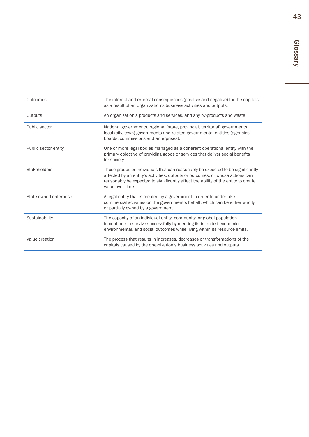43

| Outcomes               | The internal and external consequences (positive and negative) for the capitals<br>as a result of an organization's business activities and outputs.                                                                                                                       |
|------------------------|----------------------------------------------------------------------------------------------------------------------------------------------------------------------------------------------------------------------------------------------------------------------------|
| Outputs                | An organization's products and services, and any by-products and waste.                                                                                                                                                                                                    |
| Public sector          | National governments, regional (state, provincial, territorial) governments,<br>local (city, town) governments and related governmental entities (agencies,<br>boards, commissions and enterprises).                                                                       |
| Public sector entity   | One or more legal bodies managed as a coherent operational entity with the<br>primary objective of providing goods or services that deliver social benefits<br>for society.                                                                                                |
| <b>Stakeholders</b>    | Those groups or individuals that can reasonably be expected to be significantly<br>affected by an entity's activities, outputs or outcomes, or whose actions can<br>reasonably be expected to significantly affect the ability of the entity to create<br>value over time. |
| State-owned enterprise | A legal entity that is created by a government in order to undertake<br>commercial activities on the government's behalf, which can be either wholly<br>or partially owned by a government.                                                                                |
| Sustainability         | The capacity of an individual entity, community, or global population<br>to continue to survive successfully by meeting its intended economic,<br>environmental, and social outcomes while living within its resource limits.                                              |
| Value creation         | The process that results in increases, decreases or transformations of the<br>capitals caused by the organization's business activities and outputs.                                                                                                                       |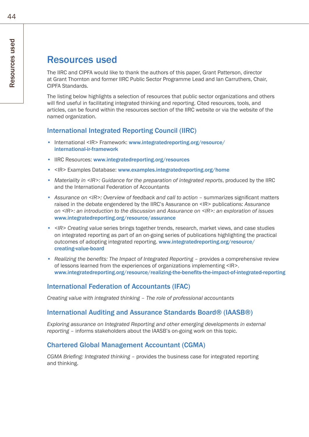# Resources used

The IIRC and CIPFA would like to thank the authors of this paper, Grant Patterson, director at Grant Thornton and former IIRC Public Sector Programme Lead and Ian Carruthers, Chair, CIPFA Standards.

The listing below highlights a selection of resources that public sector organizations and others will find useful in facilitating integrated thinking and reporting. Cited resources, tools, and articles, can be found within the resources section of the IIRC website or via the website of the named organization.

### International Integrated Reporting Council (IIRC)

- International <IR> Framework: www.integratedreporting.org/resource/ international-ir-framework
- IIRC Resources: www.integratedreporting.org/resources
- <IR> Examples Database: www.examples.integratedreporting.org/home
- *Materiality in <IR>: Guidance for the preparation of integrated reports*, produced by the IIRC and the International Federation of Accountants
- Assurance on <IR>: Overview of feedback and call to action summarizes significant matters raised in the debate engendered by the IIRC's Assurance on <IR> publications: *Assurance on <IR>: an introduction to the discussion* and *Assurance on <IR>: an exploration of issues* www.integratedreporting.org/resource/assurance
- *<IR> Creating value* series brings together trends, research, market views, and case studies on integrated reporting as part of an on-going series of publications highlighting the practical outcomes of adopting integrated reporting. www.integratedreporting.org/resource/ creating-value-board
- *Realizing the benefits: The Impact of Integrated Reporting*  provides a comprehensive review of lessons learned from the experiences of organizations implementing <IR>. www.integratedreporting.org/resource/realizing-the-benefits-the-impact-of-integrated-reporting

### International Federation of Accountants (IFAC)

*Creating value with integrated thinking – The role of professional accountants*

### International Auditing and Assurance Standards Board® (IAASB®)

*Exploring assurance on Integrated Reporting and other emerging developments in external reporting* – informs stakeholders about the IAASB's on-going work on this topic.

### Chartered Global Management Accountant (CGMA)

*CGMA Briefing: Integrated thinking* – provides the business case for integrated reporting and thinking.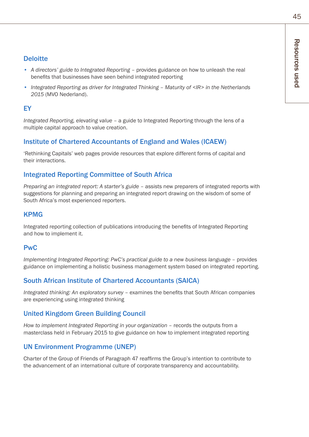## **Deloitte**

- *A directors' guide to Integrated Reporting* provides guidance on how to unleash the real benefits that businesses have seen behind integrated reporting
- *Integrated Reporting as driver for Integrated Thinking Maturity of <IR> in the Netherlands 2015* (MVO Nederland).

## **EY**

*Integrated Reporting, elevating value* – a guide to Integrated Reporting through the lens of a multiple capital approach to value creation.

### Institute of Chartered Accountants of England and Wales (ICAEW)

'Rethinking Capitals' web pages provide resources that explore different forms of capital and their interactions.

### Integrated Reporting Committee of South Africa

*Preparing an integrated report: A starter's guide* – assists new preparers of integrated reports with suggestions for planning and preparing an integrated report drawing on the wisdom of some of South Africa's most experienced reporters.

## KPMG

Integrated reporting collection of publications introducing the benefits of Integrated Reporting and how to implement it.

### PwC

*Implementing Integrated Reporting: PwC's practical guide to a new business language* – provides guidance on implementing a holistic business management system based on integrated reporting.

### South African Institute of Chartered Accountants (SAICA)

*Integrated thinking: An exploratory survey* – examines the benefits that South African companies are experiencing using integrated thinking

### United Kingdom Green Building Council

*How to implement Integrated Reporting in your organization* – records the outputs from a masterclass held in February 2015 to give guidance on how to implement integrated reporting

### UN Environment Programme (UNEP)

Charter of the Group of Friends of Paragraph 47 reaffirms the Group's intention to contribute to the advancement of an international culture of corporate transparency and accountability.